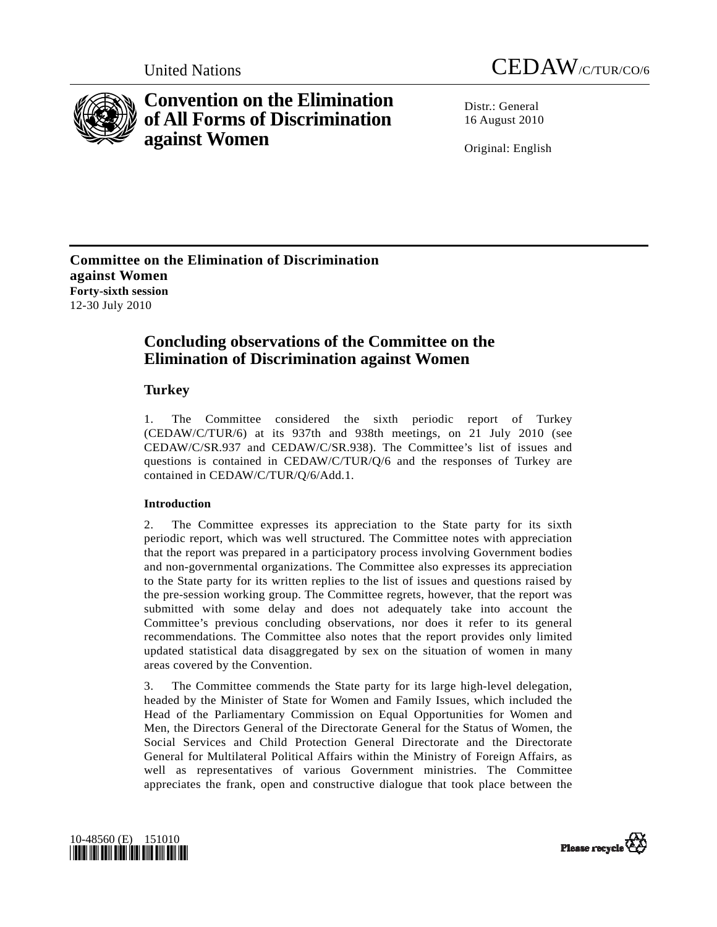



# **Convention on the Elimination of All Forms of Discrimination against Women**

Distr · General 16 August 2010

Original: English

**Committee on the Elimination of Discrimination against Women Forty-sixth session**  12-30 July 2010

## **Concluding observations of the Committee on the Elimination of Discrimination against Women**

## **Turkey**

1. The Committee considered the sixth periodic report of Turkey (CEDAW/C/TUR/6) at its 937th and 938th meetings, on 21 July 2010 (see CEDAW/C/SR.937 and CEDAW/C/SR.938). The Committee's list of issues and questions is contained in CEDAW/C/TUR/Q/6 and the responses of Turkey are contained in CEDAW/C/TUR/Q/6/Add.1.

## **Introduction**

2. The Committee expresses its appreciation to the State party for its sixth periodic report, which was well structured. The Committee notes with appreciation that the report was prepared in a participatory process involving Government bodies and non-governmental organizations. The Committee also expresses its appreciation to the State party for its written replies to the list of issues and questions raised by the pre-session working group. The Committee regrets, however, that the report was submitted with some delay and does not adequately take into account the Committee's previous concluding observations, nor does it refer to its general recommendations. The Committee also notes that the report provides only limited updated statistical data disaggregated by sex on the situation of women in many areas covered by the Convention.

3. The Committee commends the State party for its large high-level delegation, headed by the Minister of State for Women and Family Issues, which included the Head of the Parliamentary Commission on Equal Opportunities for Women and Men, the Directors General of the Directorate General for the Status of Women, the Social Services and Child Protection General Directorate and the Directorate General for Multilateral Political Affairs within the Ministry of Foreign Affairs, as well as representatives of various Government ministries. The Committee appreciates the frank, open and constructive dialogue that took place between the



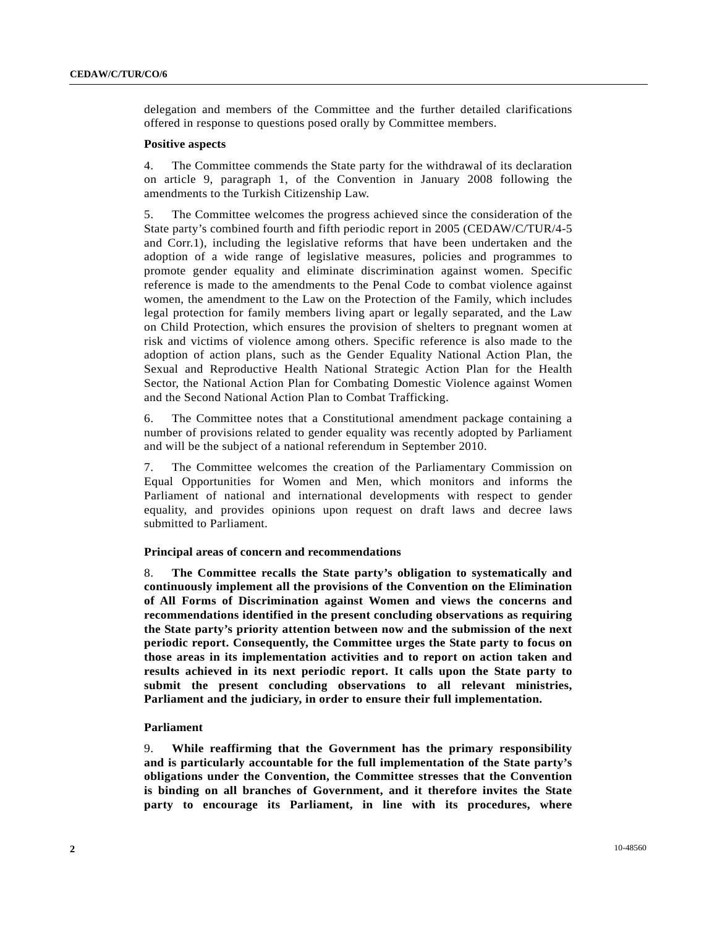delegation and members of the Committee and the further detailed clarifications offered in response to questions posed orally by Committee members.

#### **Positive aspects**

4. The Committee commends the State party for the withdrawal of its declaration on article 9, paragraph 1, of the Convention in January 2008 following the amendments to the Turkish Citizenship Law.

5. The Committee welcomes the progress achieved since the consideration of the State party's combined fourth and fifth periodic report in 2005 (CEDAW/C/TUR/4-5 and Corr.1), including the legislative reforms that have been undertaken and the adoption of a wide range of legislative measures, policies and programmes to promote gender equality and eliminate discrimination against women. Specific reference is made to the amendments to the Penal Code to combat violence against women, the amendment to the Law on the Protection of the Family, which includes legal protection for family members living apart or legally separated, and the Law on Child Protection, which ensures the provision of shelters to pregnant women at risk and victims of violence among others. Specific reference is also made to the adoption of action plans, such as the Gender Equality National Action Plan, the Sexual and Reproductive Health National Strategic Action Plan for the Health Sector, the National Action Plan for Combating Domestic Violence against Women and the Second National Action Plan to Combat Trafficking.

6. The Committee notes that a Constitutional amendment package containing a number of provisions related to gender equality was recently adopted by Parliament and will be the subject of a national referendum in September 2010.

7. The Committee welcomes the creation of the Parliamentary Commission on Equal Opportunities for Women and Men, which monitors and informs the Parliament of national and international developments with respect to gender equality, and provides opinions upon request on draft laws and decree laws submitted to Parliament.

#### **Principal areas of concern and recommendations**

8. **The Committee recalls the State party's obligation to systematically and continuously implement all the provisions of the Convention on the Elimination of All Forms of Discrimination against Women and views the concerns and recommendations identified in the present concluding observations as requiring the State party's priority attention between now and the submission of the next periodic report. Consequently, the Committee urges the State party to focus on those areas in its implementation activities and to report on action taken and results achieved in its next periodic report. It calls upon the State party to submit the present concluding observations to all relevant ministries, Parliament and the judiciary, in order to ensure their full implementation.**

## **Parliament**

9. **While reaffirming that the Government has the primary responsibility and is particularly accountable for the full implementation of the State party's obligations under the Convention, the Committee stresses that the Convention is binding on all branches of Government, and it therefore invites the State party to encourage its Parliament, in line with its procedures, where**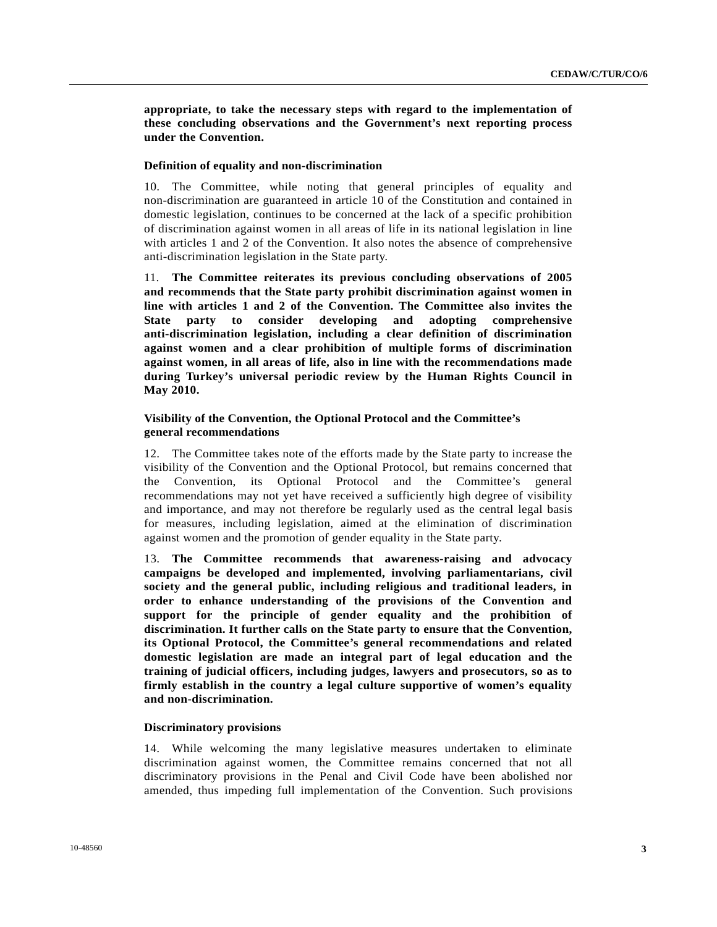**appropriate, to take the necessary steps with regard to the implementation of these concluding observations and the Government's next reporting process under the Convention.** 

#### **Definition of equality and non-discrimination**

10. The Committee, while noting that general principles of equality and non-discrimination are guaranteed in article 10 of the Constitution and contained in domestic legislation, continues to be concerned at the lack of a specific prohibition of discrimination against women in all areas of life in its national legislation in line with articles 1 and 2 of the Convention. It also notes the absence of comprehensive anti-discrimination legislation in the State party.

11. **The Committee reiterates its previous concluding observations of 2005 and recommends that the State party prohibit discrimination against women in line with articles 1 and 2 of the Convention. The Committee also invites the State party to consider developing and adopting comprehensive anti-discrimination legislation, including a clear definition of discrimination against women and a clear prohibition of multiple forms of discrimination against women, in all areas of life, also in line with the recommendations made during Turkey's universal periodic review by the Human Rights Council in May 2010.**

## **Visibility of the Convention, the Optional Protocol and the Committee's general recommendations**

12. The Committee takes note of the efforts made by the State party to increase the visibility of the Convention and the Optional Protocol, but remains concerned that the Convention, its Optional Protocol and the Committee's general recommendations may not yet have received a sufficiently high degree of visibility and importance, and may not therefore be regularly used as the central legal basis for measures, including legislation, aimed at the elimination of discrimination against women and the promotion of gender equality in the State party.

13. **The Committee recommends that awareness-raising and advocacy campaigns be developed and implemented, involving parliamentarians, civil society and the general public, including religious and traditional leaders, in order to enhance understanding of the provisions of the Convention and support for the principle of gender equality and the prohibition of discrimination. It further calls on the State party to ensure that the Convention, its Optional Protocol, the Committee's general recommendations and related domestic legislation are made an integral part of legal education and the training of judicial officers, including judges, lawyers and prosecutors, so as to firmly establish in the country a legal culture supportive of women's equality and non-discrimination.**

## **Discriminatory provisions**

14. While welcoming the many legislative measures undertaken to eliminate discrimination against women, the Committee remains concerned that not all discriminatory provisions in the Penal and Civil Code have been abolished nor amended, thus impeding full implementation of the Convention. Such provisions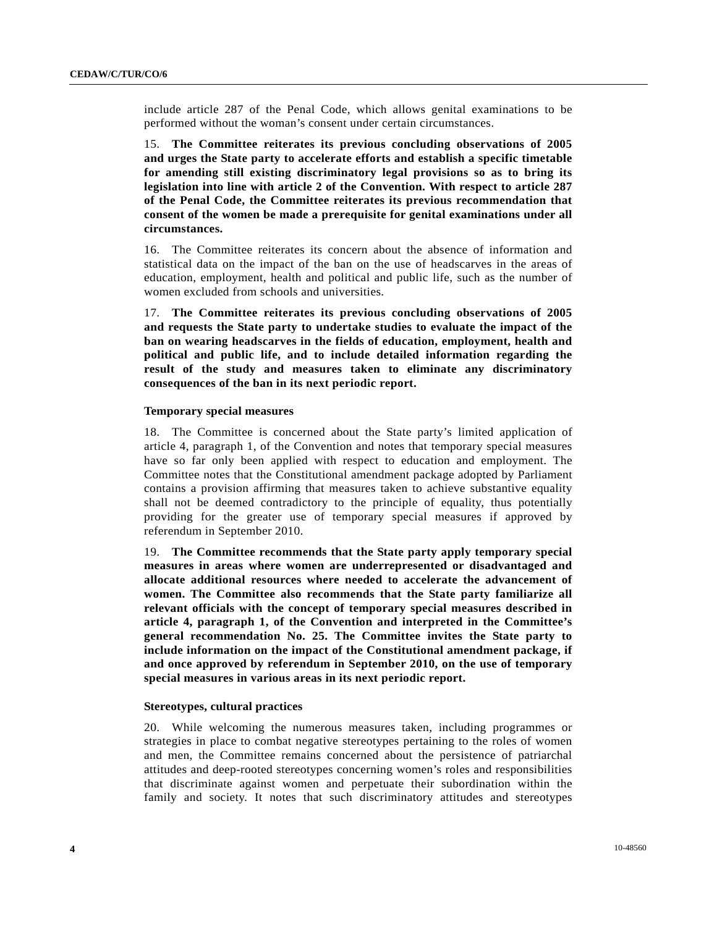include article 287 of the Penal Code, which allows genital examinations to be performed without the woman's consent under certain circumstances.

15. **The Committee reiterates its previous concluding observations of 2005 and urges the State party to accelerate efforts and establish a specific timetable for amending still existing discriminatory legal provisions so as to bring its legislation into line with article 2 of the Convention. With respect to article 287 of the Penal Code, the Committee reiterates its previous recommendation that consent of the women be made a prerequisite for genital examinations under all circumstances.** 

16. The Committee reiterates its concern about the absence of information and statistical data on the impact of the ban on the use of headscarves in the areas of education, employment, health and political and public life, such as the number of women excluded from schools and universities.

17. **The Committee reiterates its previous concluding observations of 2005 and requests the State party to undertake studies to evaluate the impact of the ban on wearing headscarves in the fields of education, employment, health and political and public life, and to include detailed information regarding the result of the study and measures taken to eliminate any discriminatory consequences of the ban in its next periodic report.**

#### **Temporary special measures**

18. The Committee is concerned about the State party's limited application of article 4, paragraph 1, of the Convention and notes that temporary special measures have so far only been applied with respect to education and employment. The Committee notes that the Constitutional amendment package adopted by Parliament contains a provision affirming that measures taken to achieve substantive equality shall not be deemed contradictory to the principle of equality, thus potentially providing for the greater use of temporary special measures if approved by referendum in September 2010.

19. **The Committee recommends that the State party apply temporary special measures in areas where women are underrepresented or disadvantaged and allocate additional resources where needed to accelerate the advancement of women. The Committee also recommends that the State party familiarize all relevant officials with the concept of temporary special measures described in article 4, paragraph 1, of the Convention and interpreted in the Committee's general recommendation No. 25. The Committee invites the State party to include information on the impact of the Constitutional amendment package, if and once approved by referendum in September 2010, on the use of temporary special measures in various areas in its next periodic report.**

#### **Stereotypes, cultural practices**

20. While welcoming the numerous measures taken, including programmes or strategies in place to combat negative stereotypes pertaining to the roles of women and men, the Committee remains concerned about the persistence of patriarchal attitudes and deep-rooted stereotypes concerning women's roles and responsibilities that discriminate against women and perpetuate their subordination within the family and society. It notes that such discriminatory attitudes and stereotypes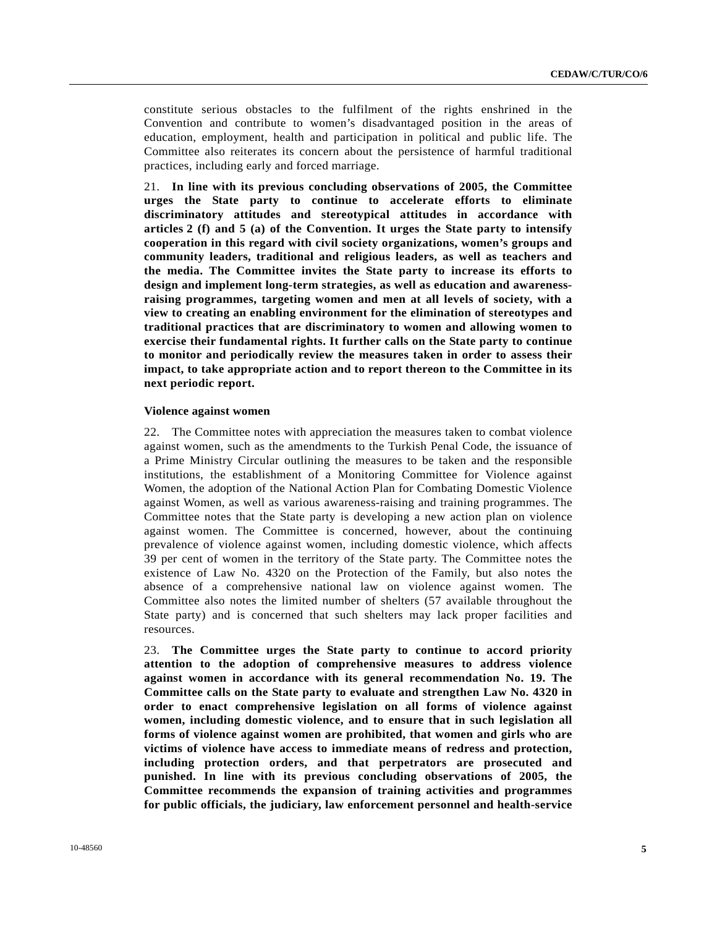constitute serious obstacles to the fulfilment of the rights enshrined in the Convention and contribute to women's disadvantaged position in the areas of education, employment, health and participation in political and public life. The Committee also reiterates its concern about the persistence of harmful traditional practices, including early and forced marriage.

21. **In line with its previous concluding observations of 2005, the Committee urges the State party to continue to accelerate efforts to eliminate discriminatory attitudes and stereotypical attitudes in accordance with articles 2 (f) and 5 (a) of the Convention. It urges the State party to intensify cooperation in this regard with civil society organizations, women's groups and community leaders, traditional and religious leaders, as well as teachers and the media. The Committee invites the State party to increase its efforts to design and implement long-term strategies, as well as education and awarenessraising programmes, targeting women and men at all levels of society, with a view to creating an enabling environment for the elimination of stereotypes and traditional practices that are discriminatory to women and allowing women to exercise their fundamental rights. It further calls on the State party to continue to monitor and periodically review the measures taken in order to assess their impact, to take appropriate action and to report thereon to the Committee in its next periodic report.**

#### **Violence against women**

22. The Committee notes with appreciation the measures taken to combat violence against women, such as the amendments to the Turkish Penal Code, the issuance of a Prime Ministry Circular outlining the measures to be taken and the responsible institutions, the establishment of a Monitoring Committee for Violence against Women, the adoption of the National Action Plan for Combating Domestic Violence against Women, as well as various awareness-raising and training programmes. The Committee notes that the State party is developing a new action plan on violence against women. The Committee is concerned, however, about the continuing prevalence of violence against women, including domestic violence, which affects 39 per cent of women in the territory of the State party. The Committee notes the existence of Law No. 4320 on the Protection of the Family, but also notes the absence of a comprehensive national law on violence against women. The Committee also notes the limited number of shelters (57 available throughout the State party) and is concerned that such shelters may lack proper facilities and resources.

23. **The Committee urges the State party to continue to accord priority attention to the adoption of comprehensive measures to address violence against women in accordance with its general recommendation No. 19. The Committee calls on the State party to evaluate and strengthen Law No. 4320 in order to enact comprehensive legislation on all forms of violence against women, including domestic violence, and to ensure that in such legislation all forms of violence against women are prohibited, that women and girls who are victims of violence have access to immediate means of redress and protection, including protection orders, and that perpetrators are prosecuted and punished. In line with its previous concluding observations of 2005, the Committee recommends the expansion of training activities and programmes for public officials, the judiciary, law enforcement personnel and health-service**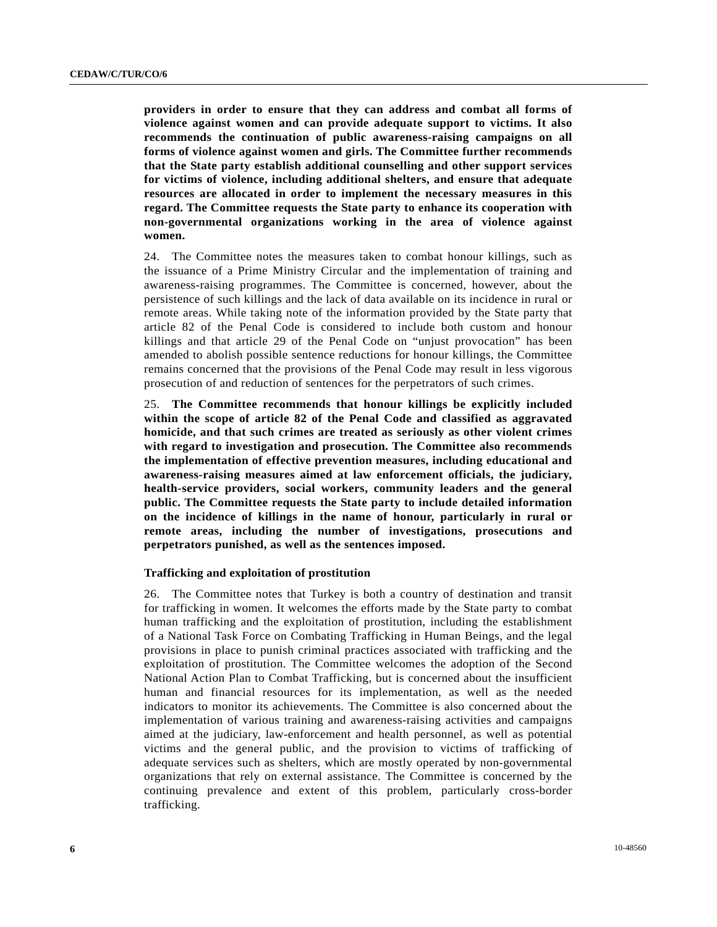**providers in order to ensure that they can address and combat all forms of violence against women and can provide adequate support to victims. It also recommends the continuation of public awareness-raising campaigns on all forms of violence against women and girls. The Committee further recommends that the State party establish additional counselling and other support services for victims of violence, including additional shelters, and ensure that adequate resources are allocated in order to implement the necessary measures in this regard. The Committee requests the State party to enhance its cooperation with non-governmental organizations working in the area of violence against women.** 

24. The Committee notes the measures taken to combat honour killings, such as the issuance of a Prime Ministry Circular and the implementation of training and awareness-raising programmes. The Committee is concerned, however, about the persistence of such killings and the lack of data available on its incidence in rural or remote areas. While taking note of the information provided by the State party that article 82 of the Penal Code is considered to include both custom and honour killings and that article 29 of the Penal Code on "unjust provocation" has been amended to abolish possible sentence reductions for honour killings, the Committee remains concerned that the provisions of the Penal Code may result in less vigorous prosecution of and reduction of sentences for the perpetrators of such crimes.

25. **The Committee recommends that honour killings be explicitly included within the scope of article 82 of the Penal Code and classified as aggravated homicide, and that such crimes are treated as seriously as other violent crimes with regard to investigation and prosecution. The Committee also recommends the implementation of effective prevention measures, including educational and awareness-raising measures aimed at law enforcement officials, the judiciary, health-service providers, social workers, community leaders and the general public. The Committee requests the State party to include detailed information on the incidence of killings in the name of honour, particularly in rural or remote areas, including the number of investigations, prosecutions and perpetrators punished, as well as the sentences imposed.**

#### **Trafficking and exploitation of prostitution**

26. The Committee notes that Turkey is both a country of destination and transit for trafficking in women. It welcomes the efforts made by the State party to combat human trafficking and the exploitation of prostitution, including the establishment of a National Task Force on Combating Trafficking in Human Beings, and the legal provisions in place to punish criminal practices associated with trafficking and the exploitation of prostitution. The Committee welcomes the adoption of the Second National Action Plan to Combat Trafficking, but is concerned about the insufficient human and financial resources for its implementation, as well as the needed indicators to monitor its achievements. The Committee is also concerned about the implementation of various training and awareness-raising activities and campaigns aimed at the judiciary, law-enforcement and health personnel, as well as potential victims and the general public, and the provision to victims of trafficking of adequate services such as shelters, which are mostly operated by non-governmental organizations that rely on external assistance. The Committee is concerned by the continuing prevalence and extent of this problem, particularly cross-border trafficking.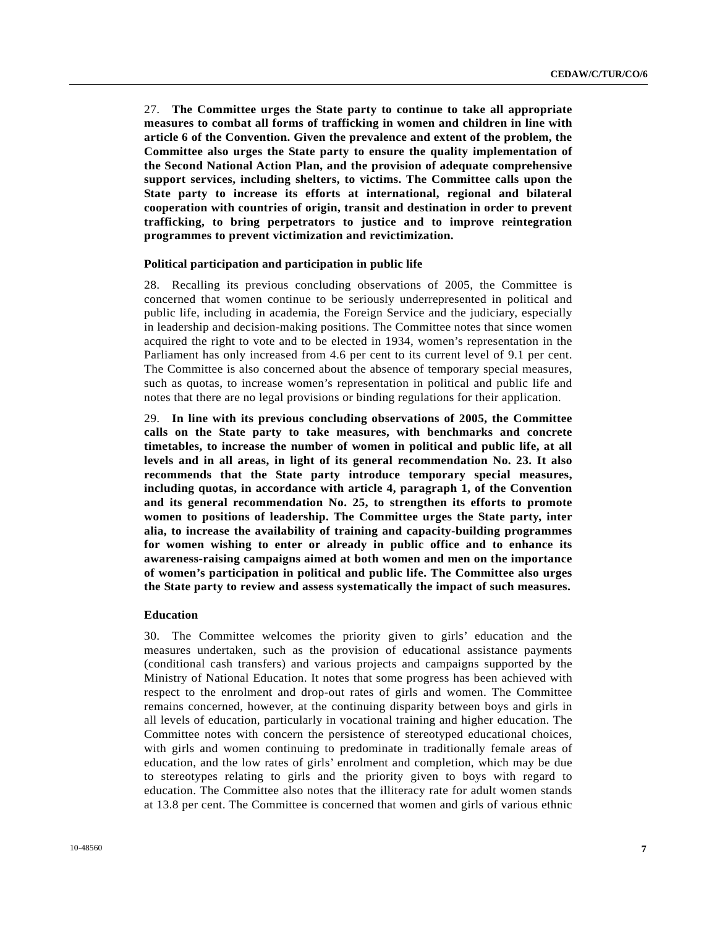27. **The Committee urges the State party to continue to take all appropriate measures to combat all forms of trafficking in women and children in line with article 6 of the Convention. Given the prevalence and extent of the problem, the Committee also urges the State party to ensure the quality implementation of the Second National Action Plan, and the provision of adequate comprehensive support services, including shelters, to victims. The Committee calls upon the State party to increase its efforts at international, regional and bilateral cooperation with countries of origin, transit and destination in order to prevent trafficking, to bring perpetrators to justice and to improve reintegration programmes to prevent victimization and revictimization.**

## **Political participation and participation in public life**

28. Recalling its previous concluding observations of 2005, the Committee is concerned that women continue to be seriously underrepresented in political and public life, including in academia, the Foreign Service and the judiciary, especially in leadership and decision-making positions. The Committee notes that since women acquired the right to vote and to be elected in 1934, women's representation in the Parliament has only increased from 4.6 per cent to its current level of 9.1 per cent. The Committee is also concerned about the absence of temporary special measures, such as quotas, to increase women's representation in political and public life and notes that there are no legal provisions or binding regulations for their application.

29. **In line with its previous concluding observations of 2005, the Committee calls on the State party to take measures, with benchmarks and concrete timetables, to increase the number of women in political and public life, at all levels and in all areas, in light of its general recommendation No. 23. It also recommends that the State party introduce temporary special measures, including quotas, in accordance with article 4, paragraph 1, of the Convention and its general recommendation No. 25, to strengthen its efforts to promote women to positions of leadership. The Committee urges the State party, inter alia, to increase the availability of training and capacity-building programmes for women wishing to enter or already in public office and to enhance its awareness-raising campaigns aimed at both women and men on the importance of women's participation in political and public life. The Committee also urges the State party to review and assess systematically the impact of such measures.**

#### **Education**

30. The Committee welcomes the priority given to girls' education and the measures undertaken, such as the provision of educational assistance payments (conditional cash transfers) and various projects and campaigns supported by the Ministry of National Education. It notes that some progress has been achieved with respect to the enrolment and drop-out rates of girls and women. The Committee remains concerned, however, at the continuing disparity between boys and girls in all levels of education, particularly in vocational training and higher education. The Committee notes with concern the persistence of stereotyped educational choices, with girls and women continuing to predominate in traditionally female areas of education, and the low rates of girls' enrolment and completion, which may be due to stereotypes relating to girls and the priority given to boys with regard to education. The Committee also notes that the illiteracy rate for adult women stands at 13.8 per cent. The Committee is concerned that women and girls of various ethnic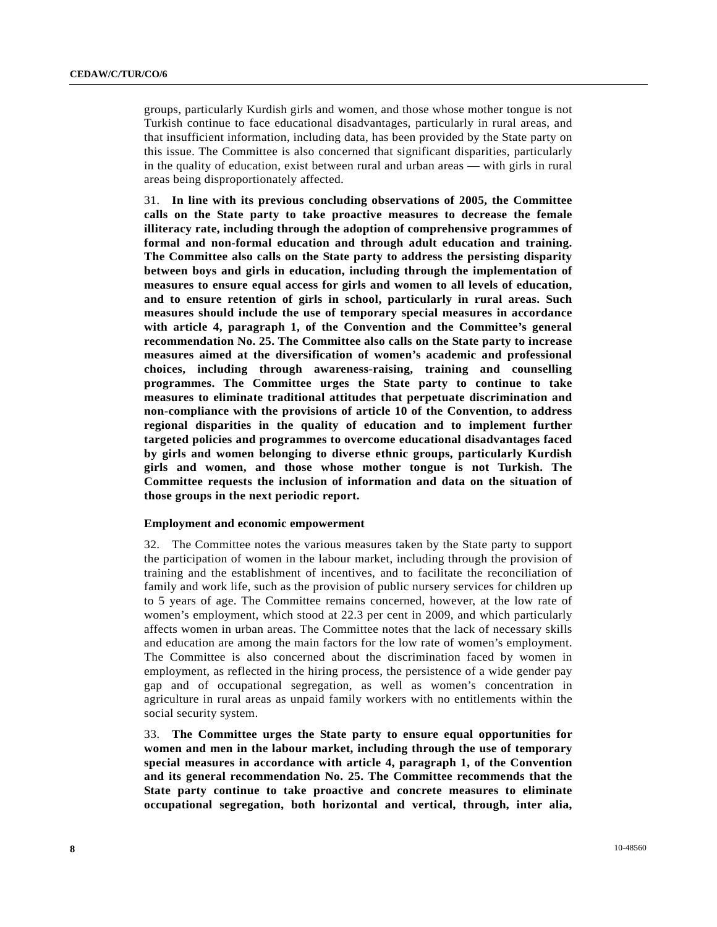groups, particularly Kurdish girls and women, and those whose mother tongue is not Turkish continue to face educational disadvantages, particularly in rural areas, and that insufficient information, including data, has been provided by the State party on this issue. The Committee is also concerned that significant disparities, particularly in the quality of education, exist between rural and urban areas — with girls in rural areas being disproportionately affected.

31. **In line with its previous concluding observations of 2005, the Committee calls on the State party to take proactive measures to decrease the female illiteracy rate, including through the adoption of comprehensive programmes of formal and non-formal education and through adult education and training. The Committee also calls on the State party to address the persisting disparity between boys and girls in education, including through the implementation of measures to ensure equal access for girls and women to all levels of education, and to ensure retention of girls in school, particularly in rural areas. Such measures should include the use of temporary special measures in accordance with article 4, paragraph 1, of the Convention and the Committee's general recommendation No. 25. The Committee also calls on the State party to increase measures aimed at the diversification of women's academic and professional choices, including through awareness-raising, training and counselling programmes. The Committee urges the State party to continue to take measures to eliminate traditional attitudes that perpetuate discrimination and non-compliance with the provisions of article 10 of the Convention, to address regional disparities in the quality of education and to implement further targeted policies and programmes to overcome educational disadvantages faced by girls and women belonging to diverse ethnic groups, particularly Kurdish girls and women, and those whose mother tongue is not Turkish. The Committee requests the inclusion of information and data on the situation of those groups in the next periodic report.**

#### **Employment and economic empowerment**

32. The Committee notes the various measures taken by the State party to support the participation of women in the labour market, including through the provision of training and the establishment of incentives, and to facilitate the reconciliation of family and work life, such as the provision of public nursery services for children up to 5 years of age. The Committee remains concerned, however, at the low rate of women's employment, which stood at 22.3 per cent in 2009, and which particularly affects women in urban areas. The Committee notes that the lack of necessary skills and education are among the main factors for the low rate of women's employment. The Committee is also concerned about the discrimination faced by women in employment, as reflected in the hiring process, the persistence of a wide gender pay gap and of occupational segregation, as well as women's concentration in agriculture in rural areas as unpaid family workers with no entitlements within the social security system.

33. **The Committee urges the State party to ensure equal opportunities for women and men in the labour market, including through the use of temporary special measures in accordance with article 4, paragraph 1, of the Convention and its general recommendation No. 25. The Committee recommends that the State party continue to take proactive and concrete measures to eliminate occupational segregation, both horizontal and vertical, through, inter alia,**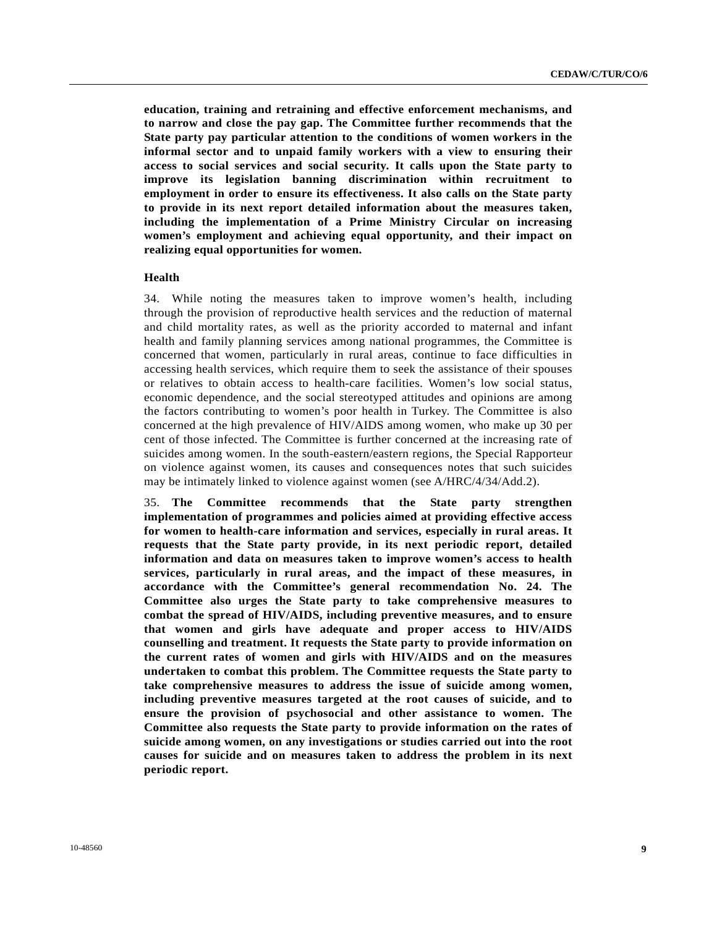**education, training and retraining and effective enforcement mechanisms, and to narrow and close the pay gap. The Committee further recommends that the State party pay particular attention to the conditions of women workers in the informal sector and to unpaid family workers with a view to ensuring their access to social services and social security. It calls upon the State party to improve its legislation banning discrimination within recruitment to employment in order to ensure its effectiveness. It also calls on the State party to provide in its next report detailed information about the measures taken, including the implementation of a Prime Ministry Circular on increasing women's employment and achieving equal opportunity, and their impact on realizing equal opportunities for women.**

#### **Health**

34. While noting the measures taken to improve women's health, including through the provision of reproductive health services and the reduction of maternal and child mortality rates, as well as the priority accorded to maternal and infant health and family planning services among national programmes, the Committee is concerned that women, particularly in rural areas, continue to face difficulties in accessing health services, which require them to seek the assistance of their spouses or relatives to obtain access to health-care facilities. Women's low social status, economic dependence, and the social stereotyped attitudes and opinions are among the factors contributing to women's poor health in Turkey. The Committee is also concerned at the high prevalence of HIV/AIDS among women, who make up 30 per cent of those infected. The Committee is further concerned at the increasing rate of suicides among women. In the south-eastern/eastern regions, the Special Rapporteur on violence against women, its causes and consequences notes that such suicides may be intimately linked to violence against women (see A/HRC/4/34/Add.2).

35. **The Committee recommends that the State party strengthen implementation of programmes and policies aimed at providing effective access for women to health-care information and services, especially in rural areas. It requests that the State party provide, in its next periodic report, detailed information and data on measures taken to improve women's access to health services, particularly in rural areas, and the impact of these measures, in accordance with the Committee's general recommendation No. 24. The Committee also urges the State party to take comprehensive measures to combat the spread of HIV/AIDS, including preventive measures, and to ensure that women and girls have adequate and proper access to HIV/AIDS counselling and treatment. It requests the State party to provide information on the current rates of women and girls with HIV/AIDS and on the measures undertaken to combat this problem. The Committee requests the State party to take comprehensive measures to address the issue of suicide among women, including preventive measures targeted at the root causes of suicide, and to ensure the provision of psychosocial and other assistance to women. The Committee also requests the State party to provide information on the rates of suicide among women, on any investigations or studies carried out into the root causes for suicide and on measures taken to address the problem in its next periodic report.**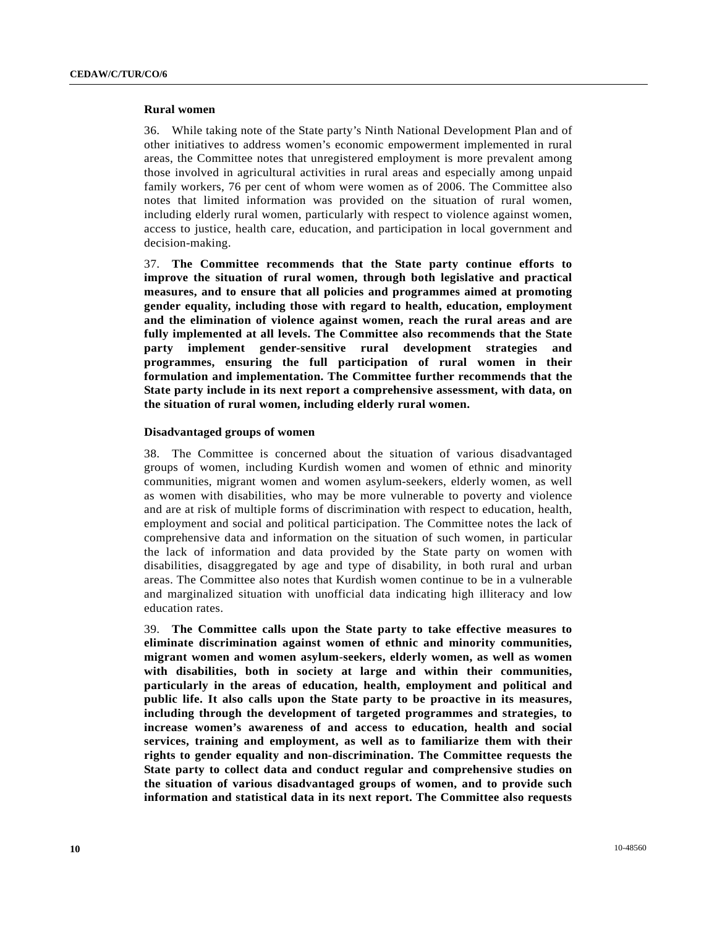#### **Rural women**

36. While taking note of the State party's Ninth National Development Plan and of other initiatives to address women's economic empowerment implemented in rural areas, the Committee notes that unregistered employment is more prevalent among those involved in agricultural activities in rural areas and especially among unpaid family workers, 76 per cent of whom were women as of 2006. The Committee also notes that limited information was provided on the situation of rural women, including elderly rural women, particularly with respect to violence against women, access to justice, health care, education, and participation in local government and decision-making.

37. **The Committee recommends that the State party continue efforts to improve the situation of rural women, through both legislative and practical measures, and to ensure that all policies and programmes aimed at promoting gender equality, including those with regard to health, education, employment and the elimination of violence against women, reach the rural areas and are fully implemented at all levels. The Committee also recommends that the State party implement gender-sensitive rural development strategies and programmes, ensuring the full participation of rural women in their formulation and implementation. The Committee further recommends that the State party include in its next report a comprehensive assessment, with data, on the situation of rural women, including elderly rural women.**

#### **Disadvantaged groups of women**

38. The Committee is concerned about the situation of various disadvantaged groups of women, including Kurdish women and women of ethnic and minority communities, migrant women and women asylum-seekers, elderly women, as well as women with disabilities, who may be more vulnerable to poverty and violence and are at risk of multiple forms of discrimination with respect to education, health, employment and social and political participation. The Committee notes the lack of comprehensive data and information on the situation of such women, in particular the lack of information and data provided by the State party on women with disabilities, disaggregated by age and type of disability, in both rural and urban areas. The Committee also notes that Kurdish women continue to be in a vulnerable and marginalized situation with unofficial data indicating high illiteracy and low education rates.

39. **The Committee calls upon the State party to take effective measures to eliminate discrimination against women of ethnic and minority communities, migrant women and women asylum-seekers, elderly women, as well as women with disabilities, both in society at large and within their communities, particularly in the areas of education, health, employment and political and public life. It also calls upon the State party to be proactive in its measures, including through the development of targeted programmes and strategies, to increase women's awareness of and access to education, health and social services, training and employment, as well as to familiarize them with their rights to gender equality and non-discrimination. The Committee requests the State party to collect data and conduct regular and comprehensive studies on the situation of various disadvantaged groups of women, and to provide such information and statistical data in its next report. The Committee also requests**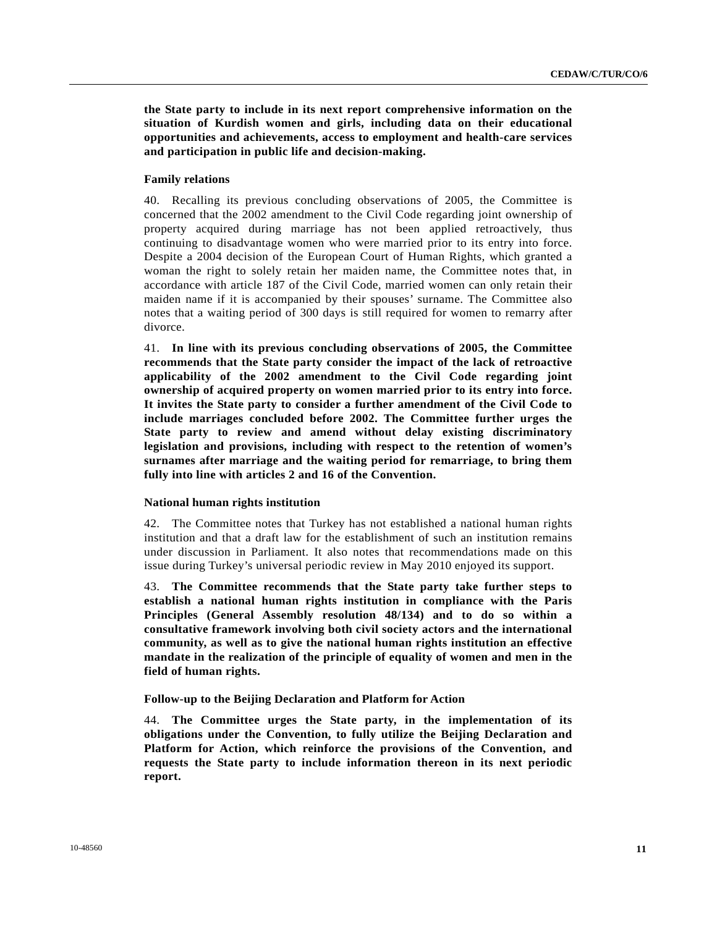**the State party to include in its next report comprehensive information on the situation of Kurdish women and girls, including data on their educational opportunities and achievements, access to employment and health-care services and participation in public life and decision-making.**

## **Family relations**

40. Recalling its previous concluding observations of 2005, the Committee is concerned that the 2002 amendment to the Civil Code regarding joint ownership of property acquired during marriage has not been applied retroactively, thus continuing to disadvantage women who were married prior to its entry into force. Despite a 2004 decision of the European Court of Human Rights, which granted a woman the right to solely retain her maiden name, the Committee notes that, in accordance with article 187 of the Civil Code, married women can only retain their maiden name if it is accompanied by their spouses' surname. The Committee also notes that a waiting period of 300 days is still required for women to remarry after divorce.

41. **In line with its previous concluding observations of 2005, the Committee recommends that the State party consider the impact of the lack of retroactive applicability of the 2002 amendment to the Civil Code regarding joint ownership of acquired property on women married prior to its entry into force. It invites the State party to consider a further amendment of the Civil Code to include marriages concluded before 2002. The Committee further urges the State party to review and amend without delay existing discriminatory legislation and provisions, including with respect to the retention of women's surnames after marriage and the waiting period for remarriage, to bring them fully into line with articles 2 and 16 of the Convention.**

#### **National human rights institution**

42. The Committee notes that Turkey has not established a national human rights institution and that a draft law for the establishment of such an institution remains under discussion in Parliament. It also notes that recommendations made on this issue during Turkey's universal periodic review in May 2010 enjoyed its support.

43. **The Committee recommends that the State party take further steps to establish a national human rights institution in compliance with the Paris Principles (General Assembly resolution 48/134) and to do so within a consultative framework involving both civil society actors and the international community, as well as to give the national human rights institution an effective mandate in the realization of the principle of equality of women and men in the field of human rights.**

## **Follow-up to the Beijing Declaration and Platform for Action**

44. **The Committee urges the State party, in the implementation of its obligations under the Convention, to fully utilize the Beijing Declaration and Platform for Action, which reinforce the provisions of the Convention, and requests the State party to include information thereon in its next periodic report.**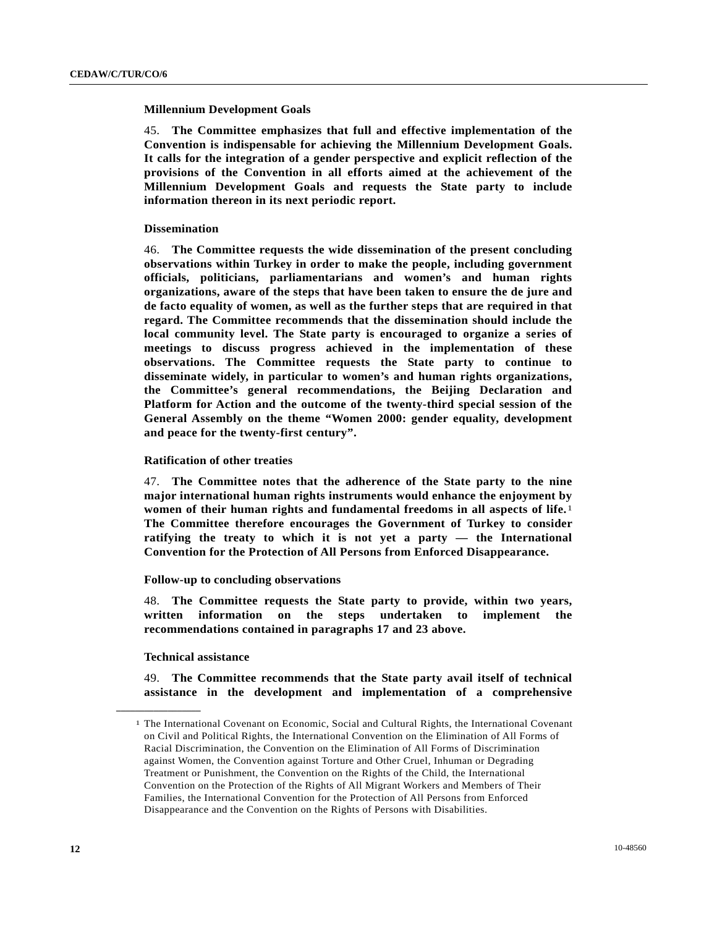#### **Millennium Development Goals**

45. **The Committee emphasizes that full and effective implementation of the Convention is indispensable for achieving the Millennium Development Goals. It calls for the integration of a gender perspective and explicit reflection of the provisions of the Convention in all efforts aimed at the achievement of the Millennium Development Goals and requests the State party to include information thereon in its next periodic report.**

#### **Dissemination**

46. **The Committee requests the wide dissemination of the present concluding observations within Turkey in order to make the people, including government officials, politicians, parliamentarians and women's and human rights organizations, aware of the steps that have been taken to ensure the de jure and de facto equality of women, as well as the further steps that are required in that regard. The Committee recommends that the dissemination should include the local community level. The State party is encouraged to organize a series of meetings to discuss progress achieved in the implementation of these observations. The Committee requests the State party to continue to disseminate widely, in particular to women's and human rights organizations, the Committee's general recommendations, the Beijing Declaration and Platform for Action and the outcome of the twenty-third special session of the General Assembly on the theme "Women 2000: gender equality, development and peace for the twenty-first century".**

#### **Ratification of other treaties**

47. **The Committee notes that the adherence of the State party to the nine major international human rights instruments would enhance the enjoyment by women of their human rights and fundamental freedoms in all aspects of life.**[1](#page-11-0) **The Committee therefore encourages the Government of Turkey to consider ratifying the treaty to which it is not yet a party — the International Convention for the Protection of All Persons from Enforced Disappearance.**

#### **Follow-up to concluding observations**

48. **The Committee requests the State party to provide, within two years, written information on the steps undertaken to implement the recommendations contained in paragraphs 17 and 23 above.** 

#### **Technical assistance**

<span id="page-11-0"></span>**\_\_\_\_\_\_\_\_\_\_\_\_\_\_\_\_\_\_** 

49. **The Committee recommends that the State party avail itself of technical assistance in the development and implementation of a comprehensive** 

<sup>1</sup> The International Covenant on Economic, Social and Cultural Rights, the International Covenant on Civil and Political Rights, the International Convention on the Elimination of All Forms of Racial Discrimination, the Convention on the Elimination of All Forms of Discrimination against Women, the Convention against Torture and Other Cruel, Inhuman or Degrading Treatment or Punishment, the Convention on the Rights of the Child, the International Convention on the Protection of the Rights of All Migrant Workers and Members of Their Families, the International Convention for the Protection of All Persons from Enforced Disappearance and the Convention on the Rights of Persons with Disabilities.